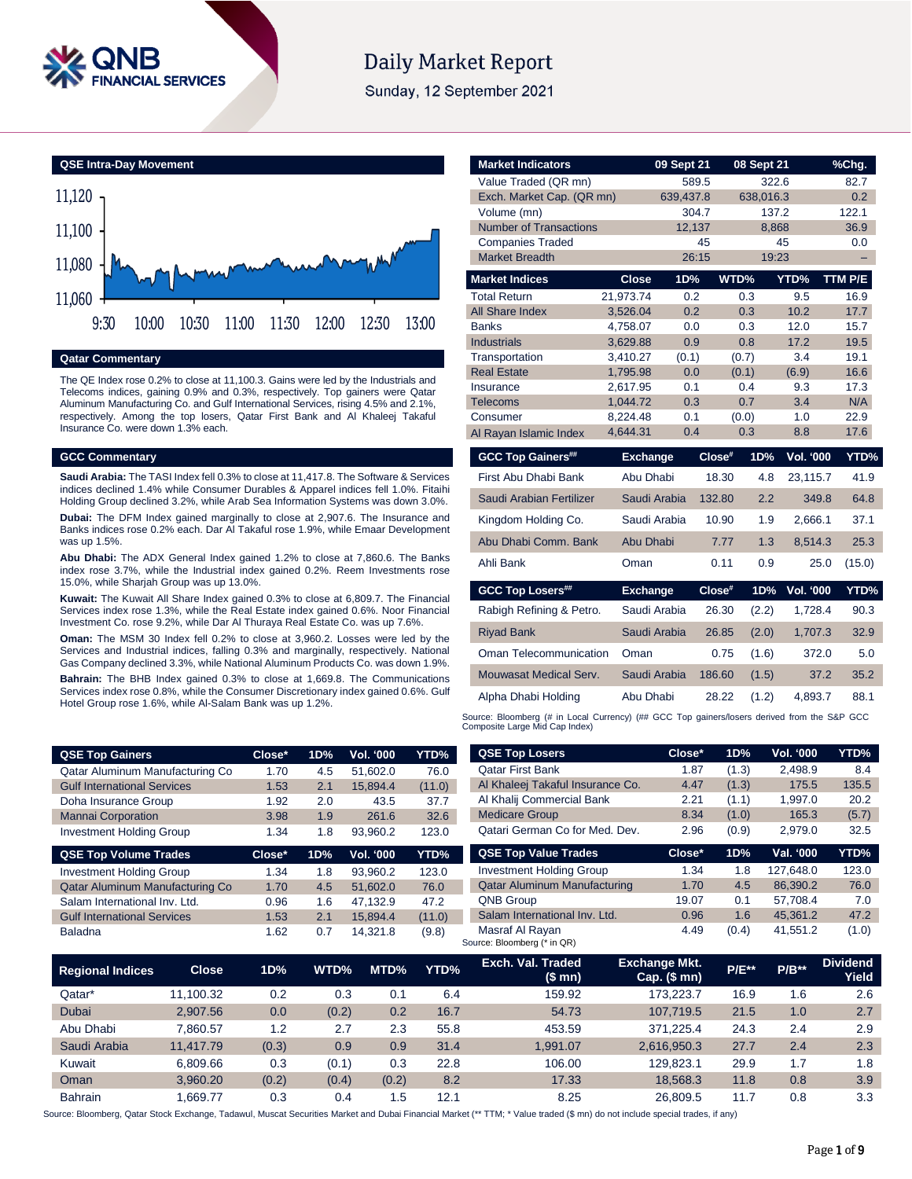

# **Daily Market Report**

Sunday, 12 September 2021

**QSE Intra-Day Movement**



**Qatar Commentary**

The QE Index rose 0.2% to close at 11,100.3. Gains were led by the Industrials and Telecoms indices, gaining 0.9% and 0.3%, respectively. Top gainers were Qatar Aluminum Manufacturing Co. and Gulf International Services, rising 4.5% and 2.1%, respectively. Among the top losers, Qatar First Bank and Al Khaleej Takaful Insurance Co. were down 1.3% each.

### **GCC Commentary**

**Saudi Arabia:** The TASI Index fell 0.3% to close at 11,417.8. The Software & Services indices declined 1.4% while Consumer Durables & Apparel indices fell 1.0%. Fitaihi Holding Group declined 3.2%, while Arab Sea Information Systems was down 3.0%.

**Dubai:** The DFM Index gained marginally to close at 2,907.6. The Insurance and Banks indices rose 0.2% each. Dar Al Takaful rose 1.9%, while Emaar Development was up 1.5%

**Abu Dhabi:** The ADX General Index gained 1.2% to close at 7,860.6. The Banks index rose 3.7%, while the Industrial index gained 0.2%. Reem Investments rose 15.0%, while Sharjah Group was up 13.0%.

**Kuwait:** The Kuwait All Share Index gained 0.3% to close at 6,809.7. The Financial Services index rose 1.3%, while the Real Estate index gained 0.6%. Noor Financial Investment Co. rose 9.2%, while Dar Al Thuraya Real Estate Co. was up 7.6%.

**Oman:** The MSM 30 Index fell 0.2% to close at 3,960.2. Losses were led by the Services and Industrial indices, falling 0.3% and marginally, respectively. National Gas Company declined 3.3%, while National Aluminum Products Co. was down 1.9%.

**Bahrain:** The BHB Index gained 0.3% to close at 1,669.8. The Communications Services index rose 0.8%, while the Consumer Discretionary index gained 0.6%. Gulf Hotel Group rose 1.6%, while Al-Salam Bank was up 1.2%.

| <b>Market Indicators</b>        |                      | 09 Sept 21   |        | 08 Sept 21   |              | %Chg.        |
|---------------------------------|----------------------|--------------|--------|--------------|--------------|--------------|
| Value Traded (QR mn)            |                      |              | 589.5  | 322.6        |              | 82.7         |
| Exch. Market Cap. (QR mn)       |                      | 639,437.8    |        | 638,016.3    |              | 0.2          |
| Volume (mn)                     |                      |              | 304.7  | 137.2        |              | 122.1        |
| <b>Number of Transactions</b>   |                      | 12,137       |        | 8,868        |              | 36.9         |
| <b>Companies Traded</b>         |                      |              | 45     |              | 45           | 0.0          |
| <b>Market Breadth</b>           |                      |              | 26:15  | 19:23        |              |              |
| <b>Market Indices</b>           | <b>Close</b>         | 1D%          |        | WTD%         | YTD%         | TTM P/E      |
| <b>Total Return</b>             | 21,973.74            | 0.2          |        | 0.3          | 9.5          | 16.9         |
| All Share Index                 | 3,526.04             | 0.2          |        | 0.3          | 10.2         | 17.7         |
| <b>Banks</b>                    | 4,758.07             | 0.0          |        | 0.3          | 12.0         | 15.7         |
| <b>Industrials</b>              | 3,629.88             | 0.9          |        | 0.8          | 17.2         | 19.5         |
| Transportation                  | 3,410.27             | (0.1)        |        | (0.7)        | 3.4          | 19.1         |
| <b>Real Estate</b><br>Insurance | 1,795.98<br>2,617.95 | 0.0<br>0.1   |        | (0.1)<br>0.4 | (6.9)<br>9.3 | 16.6<br>17.3 |
| Telecoms                        | 1,044.72             | 0.3          |        | 0.7          | 3.4          | N/A          |
| Consumer                        | 8,224.48             | 0.1          |        | (0.0)        | 1.0          | 22.9         |
| Al Rayan Islamic Index          | 4,644.31             | 0.4          |        | 0.3          | 8.8          | 17.6         |
| <b>GCC Top Gainers##</b>        | <b>Exchange</b>      |              | Close# | 1D%          | Vol. '000    | YTD%         |
|                                 |                      |              |        |              |              |              |
| First Abu Dhabi Bank            | Abu Dhabi            |              | 18.30  | 4.8          | 23,115.7     | 41.9         |
| Saudi Arabian Fertilizer        |                      | Saudi Arabia | 132.80 | 2.2          | 349.8        | 64.8         |
| Kingdom Holding Co.             |                      | Saudi Arabia | 10.90  | 1.9          | 2,666.1      | 37.1         |
| Abu Dhabi Comm. Bank            | Abu Dhabi            |              | 7.77   | 1.3          | 8,514.3      | 25.3         |
| Ahli Bank                       | Oman                 |              | 0.11   | 0.9          | 25.0         | (15.0)       |
| <b>GCC Top Losers##</b>         | <b>Exchange</b>      |              | Close# | 1D%          | Vol. '000    | YTD%         |
| Rabigh Refining & Petro.        |                      | Saudi Arabia | 26.30  | (2.2)        | 1,728.4      | 90.3         |
|                                 |                      |              |        |              |              |              |
| <b>Riyad Bank</b>               |                      | Saudi Arabia | 26.85  | (2.0)        | 1,707.3      | 32.9         |
| Oman Telecommunication          | Oman                 |              | 0.75   | (1.6)        | 372.0        | 5.0          |
| Mouwasat Medical Serv.          |                      | Saudi Arabia | 186.60 | (1.5)        | 37.2         | 35.2         |
| Alpha Dhabi Holding             | Abu Dhabi            |              | 28.22  | (1.2)        | 4,893.7      | 88.1         |
|                                 |                      |              |        |              |              |              |

Source: Bloomberg (# in Local Currency) (## GCC Top gainers/losers derived from the S&P GCC<br>Composite Large Mid Cap Index)

| <b>QSE Top Gainers</b>             | Close* | 1D% | Vol. '000 | YTD%   | <b>QSE Top Losers</b>               | Close* | 1D%   | Vol. '000 | YTD%  |
|------------------------------------|--------|-----|-----------|--------|-------------------------------------|--------|-------|-----------|-------|
| Qatar Aluminum Manufacturing Co    | 1.70   | 4.5 | 51.602.0  | 76.0   | <b>Qatar First Bank</b>             | 1.87   | (1.3) | 2.498.9   | 8.4   |
| <b>Gulf International Services</b> | 1.53   | 2.1 | 15.894.4  | (11.0) | Al Khaleej Takaful Insurance Co.    | 4.47   | (1.3) | 175.5     | 135.5 |
| Doha Insurance Group               | 1.92   | 2.0 | 43.5      | 37.7   | Al Khalij Commercial Bank           | 2.21   | (1.1) | 1.997.0   | 20.2  |
| <b>Mannai Corporation</b>          | 3.98   | 1.9 | 261.6     | 32.6   | <b>Medicare Group</b>               | 8.34   | (1.0) | 165.3     | (5.7) |
| <b>Investment Holding Group</b>    | 1.34   | 1.8 | 93.960.2  | 123.0  | Qatari German Co for Med. Dev.      | 2.96   | (0.9) | 2,979.0   | 32.5  |
| <b>QSE Top Volume Trades</b>       | Close* | 1D% | Vol. '000 | YTD%   | <b>QSE Top Value Trades</b>         | Close* | 1D%   | Val. '000 | YTD%  |
| <b>Investment Holding Group</b>    | 1.34   | 1.8 | 93.960.2  | 123.0  | <b>Investment Holding Group</b>     | 1.34   | 1.8   | 127.648.0 | 123.0 |
| Qatar Aluminum Manufacturing Co    | 1.70   | 4.5 | 51.602.0  | 76.0   | <b>Qatar Aluminum Manufacturing</b> | 1.70   | 4.5   | 86.390.2  | 76.0  |
| Salam International Inv. Ltd.      | 0.96   | 1.6 | 47.132.9  | 47.2   | <b>QNB Group</b>                    | 19.07  | 0.1   | 57.708.4  | 7.0   |
| <b>Gulf International Services</b> | 1.53   | 2.1 | 15.894.4  | (11.0) | Salam International Inv. Ltd.       | 0.96   | 1.6   | 45.361.2  | 47.2  |
| Baladna                            |        |     |           |        |                                     |        |       |           |       |

| <b>Regional Indices</b> | <b>Close</b> | 1D%   | WTD%  | MTD%  | YTD% | Exch. Val. Traded<br>(\$mn) | <b>Exchange Mkt.</b><br>Cap. $($mn)$ | <b>P/E**</b> | $P/B**$ | <b>Dividend</b><br>Yield |
|-------------------------|--------------|-------|-------|-------|------|-----------------------------|--------------------------------------|--------------|---------|--------------------------|
| Qatar*                  | 11.100.32    | 0.2   | 0.3   | 0.1   | 6.4  | 159.92                      | 173.223.7                            | 16.9         | 1.6     | 2.6                      |
| Dubai                   | 2,907.56     | 0.0   | (0.2) | 0.2   | 16.7 | 54.73                       | 107.719.5                            | 21.5         | 1.0     | 2.7                      |
| Abu Dhabi               | 7.860.57     | 1.2   | 2.7   | 2.3   | 55.8 | 453.59                      | 371.225.4                            | 24.3         | 2.4     | 2.9                      |
| Saudi Arabia            | 11.417.79    | (0.3) | 0.9   | 0.9   | 31.4 | 1.991.07                    | 2.616.950.3                          | 27.7         | 2.4     | 2.3                      |
| Kuwait                  | 6.809.66     | 0.3   | (0.1) | 0.3   | 22.8 | 106.00                      | 129.823.1                            | 29.9         | 1.7     | 1.8                      |
| Oman                    | 3.960.20     | (0.2) | (0.4) | (0.2) | 8.2  | 17.33                       | 18.568.3                             | 11.8         | 0.8     | 3.9                      |
| <b>Bahrain</b>          | .669.77      | 0.3   | 0.4   | .5    | 12.1 | 8.25                        | 26.809.5                             | 11.7         | 0.8     | 3.3                      |

Source: Bloomberg, Qatar Stock Exchange, Tadawul, Muscat Securities Market and Dubai Financial Market (\*\* TTM; \* Value traded (\$ mn) do not include special trades, if any)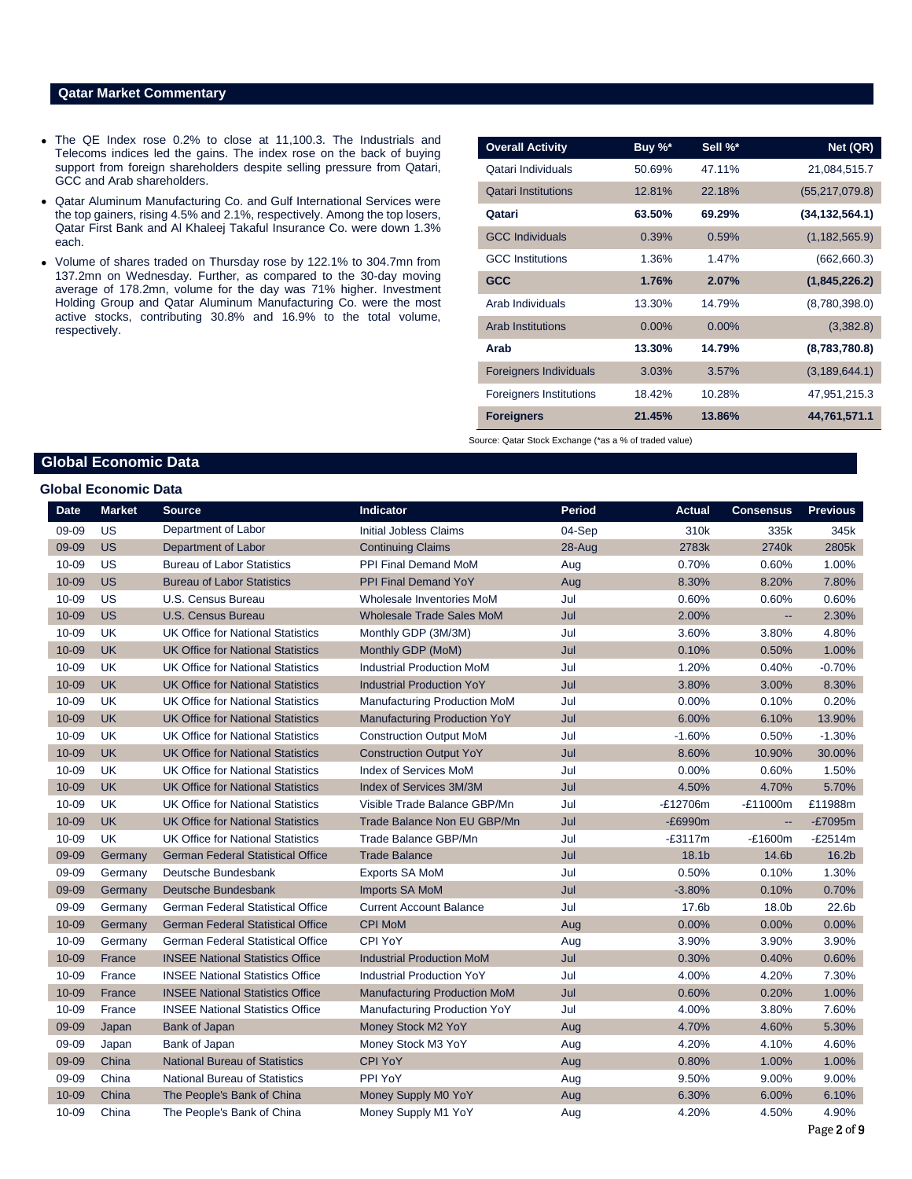## **Qatar Market Commentary**

- The QE Index rose 0.2% to close at 11,100.3. The Industrials and Telecoms indices led the gains. The index rose on the back of buying support from foreign shareholders despite selling pressure from Qatari, GCC and Arab shareholders.
- Qatar Aluminum Manufacturing Co. and Gulf International Services were the top gainers, rising 4.5% and 2.1%, respectively. Among the top losers, Qatar First Bank and Al Khaleej Takaful Insurance Co. were down 1.3% each.
- Volume of shares traded on Thursday rose by 122.1% to 304.7mn from 137.2mn on Wednesday. Further, as compared to the 30-day moving average of 178.2mn, volume for the day was 71% higher. Investment Holding Group and Qatar Aluminum Manufacturing Co. were the most active stocks, contributing 30.8% and 16.9% to the total volume, respectively.

| <b>Overall Activity</b>        | Buy %*   | Sell %*  | Net (QR)         |
|--------------------------------|----------|----------|------------------|
| Qatari Individuals             | 50.69%   | 47.11%   | 21,084,515.7     |
| <b>Qatari Institutions</b>     | 12.81%   | 22.18%   | (55, 217, 079.8) |
| Qatari                         | 63.50%   | 69.29%   | (34,132,564.1)   |
| <b>GCC Individuals</b>         | 0.39%    | 0.59%    | (1, 182, 565.9)  |
| <b>GCC</b> Institutions        | 1.36%    | 1.47%    | (662, 660.3)     |
| <b>GCC</b>                     | 1.76%    | 2.07%    | (1,845,226.2)    |
| Arab Individuals               | 13.30%   | 14.79%   | (8,780,398.0)    |
| <b>Arab Institutions</b>       | $0.00\%$ | $0.00\%$ | (3,382.8)        |
| Arab                           | 13.30%   | 14.79%   | (8,783,780.8)    |
| <b>Foreigners Individuals</b>  | 3.03%    | 3.57%    | (3, 189, 644.1)  |
| <b>Foreigners Institutions</b> | 18.42%   | 10.28%   | 47,951,215.3     |
| <b>Foreigners</b>              | 21.45%   | 13.86%   | 44,761,571.1     |

Source: Qatar Stock Exchange (\*as a % of traded value)

# **Global Economic Data**

| <b>Global Economic Data</b> |               |                                          |                                     |               |                  |                          |                 |  |  |  |
|-----------------------------|---------------|------------------------------------------|-------------------------------------|---------------|------------------|--------------------------|-----------------|--|--|--|
| <b>Date</b>                 | <b>Market</b> | <b>Source</b>                            | Indicator                           | <b>Period</b> | <b>Actual</b>    | <b>Consensus</b>         | <b>Previous</b> |  |  |  |
| 09-09                       | <b>US</b>     | Department of Labor                      | <b>Initial Jobless Claims</b>       | 04-Sep        | 310 <sub>k</sub> | 335k                     | 345k            |  |  |  |
| 09-09                       | <b>US</b>     | Department of Labor                      | <b>Continuing Claims</b>            | 28-Aug        | 2783k            | 2740k                    | 2805k           |  |  |  |
| 10-09                       | <b>US</b>     | <b>Bureau of Labor Statistics</b>        | PPI Final Demand MoM                | Aug           | 0.70%            | 0.60%                    | 1.00%           |  |  |  |
| 10-09                       | <b>US</b>     | <b>Bureau of Labor Statistics</b>        | <b>PPI Final Demand YoY</b>         | Aug           | 8.30%            | 8.20%                    | 7.80%           |  |  |  |
| 10-09                       | <b>US</b>     | U.S. Census Bureau                       | Wholesale Inventories MoM           | Jul           | 0.60%            | 0.60%                    | 0.60%           |  |  |  |
| 10-09                       | <b>US</b>     | U.S. Census Bureau                       | <b>Wholesale Trade Sales MoM</b>    | Jul           | 2.00%            | ш,                       | 2.30%           |  |  |  |
| 10-09                       | <b>UK</b>     | <b>UK Office for National Statistics</b> | Monthly GDP (3M/3M)                 | Jul           | 3.60%            | 3.80%                    | 4.80%           |  |  |  |
| 10-09                       | <b>UK</b>     | <b>UK Office for National Statistics</b> | Monthly GDP (MoM)                   | Jul           | 0.10%            | 0.50%                    | 1.00%           |  |  |  |
| 10-09                       | <b>UK</b>     | <b>UK Office for National Statistics</b> | <b>Industrial Production MoM</b>    | Jul           | 1.20%            | 0.40%                    | $-0.70%$        |  |  |  |
| 10-09                       | <b>UK</b>     | <b>UK Office for National Statistics</b> | <b>Industrial Production YoY</b>    | Jul           | 3.80%            | 3.00%                    | 8.30%           |  |  |  |
| 10-09                       | <b>UK</b>     | <b>UK Office for National Statistics</b> | Manufacturing Production MoM        | Jul           | 0.00%            | 0.10%                    | 0.20%           |  |  |  |
| 10-09                       | <b>UK</b>     | <b>UK Office for National Statistics</b> | Manufacturing Production YoY        | Jul           | 6.00%            | 6.10%                    | 13.90%          |  |  |  |
| $10 - 09$                   | <b>UK</b>     | <b>UK Office for National Statistics</b> | <b>Construction Output MoM</b>      | Jul           | $-1.60%$         | 0.50%                    | $-1.30%$        |  |  |  |
| 10-09                       | <b>UK</b>     | <b>UK Office for National Statistics</b> | <b>Construction Output YoY</b>      | Jul           | 8.60%            | 10.90%                   | 30.00%          |  |  |  |
| 10-09                       | <b>UK</b>     | <b>UK Office for National Statistics</b> | <b>Index of Services MoM</b>        | Jul           | 0.00%            | 0.60%                    | 1.50%           |  |  |  |
| 10-09                       | <b>UK</b>     | <b>UK Office for National Statistics</b> | Index of Services 3M/3M             | Jul           | 4.50%            | 4.70%                    | 5.70%           |  |  |  |
| 10-09                       | UK            | <b>UK Office for National Statistics</b> | Visible Trade Balance GBP/Mn        | Jul           | $-E12706m$       | $-E11000m$               | £11988m         |  |  |  |
| 10-09                       | <b>UK</b>     | <b>UK Office for National Statistics</b> | <b>Trade Balance Non EU GBP/Mn</b>  | Jul           | $-E6990m$        | $\overline{\phantom{a}}$ | $-E7095m$       |  |  |  |
| 10-09                       | <b>UK</b>     | <b>UK Office for National Statistics</b> | Trade Balance GBP/Mn                | Jul           | $-E3117m$        | $-E1600m$                | $-E2514m$       |  |  |  |
| 09-09                       | Germany       | <b>German Federal Statistical Office</b> | <b>Trade Balance</b>                | Jul           | 18.1b            | 14.6b                    | 16.2b           |  |  |  |
| 09-09                       | Germany       | Deutsche Bundesbank                      | <b>Exports SA MoM</b>               | Jul           | 0.50%            | 0.10%                    | 1.30%           |  |  |  |
| 09-09                       | Germany       | Deutsche Bundesbank                      | <b>Imports SA MoM</b>               | Jul           | $-3.80%$         | 0.10%                    | 0.70%           |  |  |  |
| 09-09                       | Germany       | German Federal Statistical Office        | <b>Current Account Balance</b>      | Jul           | 17.6b            | 18.0b                    | 22.6b           |  |  |  |
| 10-09                       | Germany       | <b>German Federal Statistical Office</b> | <b>CPI MoM</b>                      | Aug           | 0.00%            | 0.00%                    | 0.00%           |  |  |  |
| 10-09                       | Germany       | <b>German Federal Statistical Office</b> | <b>CPI YoY</b>                      | Aug           | 3.90%            | 3.90%                    | 3.90%           |  |  |  |
| 10-09                       | France        | <b>INSEE National Statistics Office</b>  | <b>Industrial Production MoM</b>    | Jul           | 0.30%            | 0.40%                    | 0.60%           |  |  |  |
| 10-09                       | France        | <b>INSEE National Statistics Office</b>  | <b>Industrial Production YoY</b>    | Jul           | 4.00%            | 4.20%                    | 7.30%           |  |  |  |
| 10-09                       | France        | <b>INSEE National Statistics Office</b>  | <b>Manufacturing Production MoM</b> | Jul           | 0.60%            | 0.20%                    | 1.00%           |  |  |  |
| 10-09                       | France        | <b>INSEE National Statistics Office</b>  | Manufacturing Production YoY        | Jul           | 4.00%            | 3.80%                    | 7.60%           |  |  |  |
| 09-09                       | Japan         | <b>Bank of Japan</b>                     | Money Stock M2 YoY                  | Aug           | 4.70%            | 4.60%                    | 5.30%           |  |  |  |
| 09-09                       | Japan         | Bank of Japan                            | Money Stock M3 YoY                  | Aug           | 4.20%            | 4.10%                    | 4.60%           |  |  |  |
| 09-09                       | China         | <b>National Bureau of Statistics</b>     | <b>CPI YoY</b>                      | Aug           | 0.80%            | 1.00%                    | 1.00%           |  |  |  |
| 09-09                       | China         | <b>National Bureau of Statistics</b>     | PPI YoY                             | Aug           | 9.50%            | 9.00%                    | 9.00%           |  |  |  |
| 10-09                       | China         | The People's Bank of China               | Money Supply M0 YoY                 | Aug           | 6.30%            | 6.00%                    | 6.10%           |  |  |  |
| 10-09                       | China         | The People's Bank of China               | Money Supply M1 YoY                 | Aug           | 4.20%            | 4.50%                    | 4.90%           |  |  |  |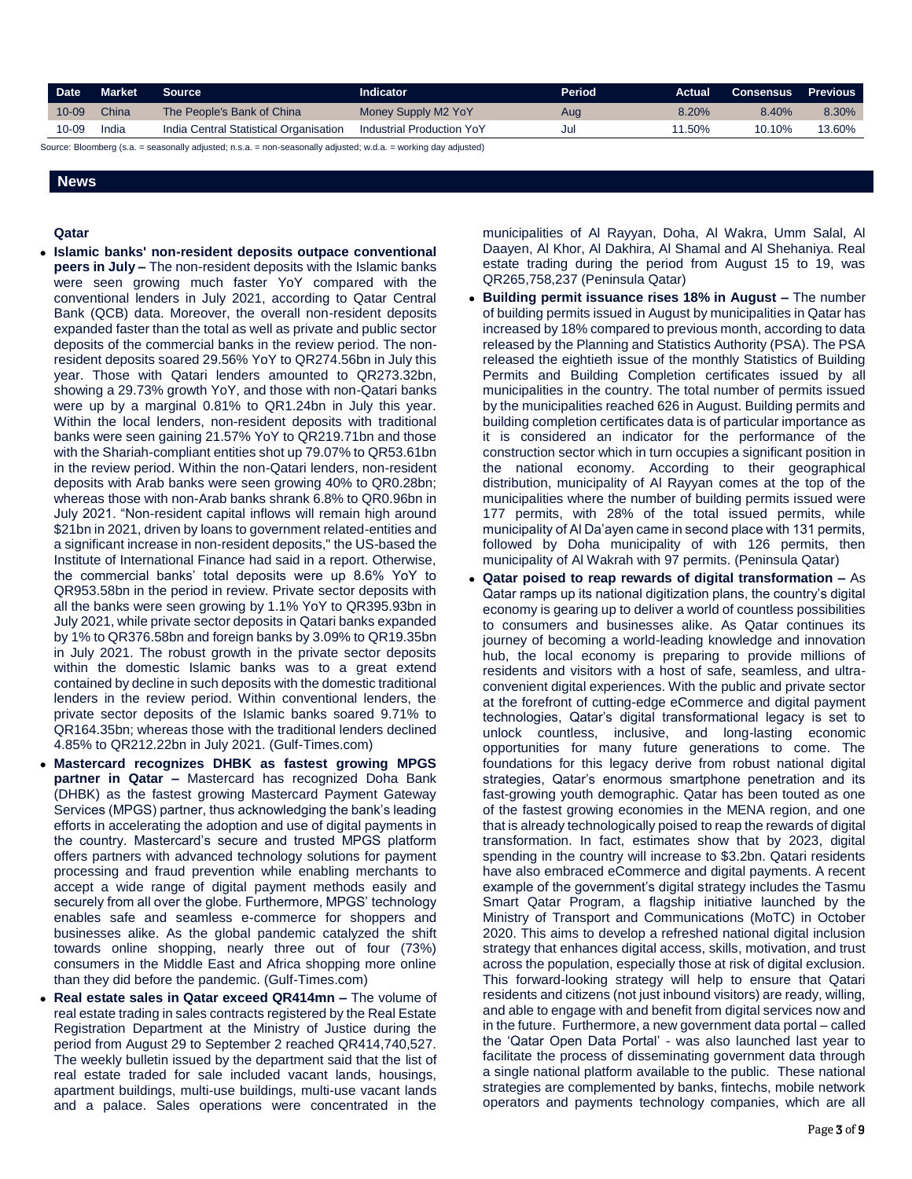| Date <b>b</b> | Market | Source '                               | <b>Indicator</b>          | Period. | Actual | Consensus . | <b>Previous</b> |
|---------------|--------|----------------------------------------|---------------------------|---------|--------|-------------|-----------------|
| $10 - 09$     | China  | The People's Bank of China             | Money Supply M2 YoY       | Aug     | 8.20%  | 8.40%       | 8.30%           |
| 10-09         | India  | India Central Statistical Organisation | Industrial Production YoY | Jul     | 11.50% | 10.10%      | 13.60%          |

Source: Bloomberg (s.a. = seasonally adjusted; n.s.a. = non-seasonally adjusted; w.d.a. = working day adjusted)

# **News**

### **Qatar**

- **Islamic banks' non-resident deposits outpace conventional peers in July –** The non-resident deposits with the Islamic banks were seen growing much faster YoY compared with the conventional lenders in July 2021, according to Qatar Central Bank (QCB) data. Moreover, the overall non-resident deposits expanded faster than the total as well as private and public sector deposits of the commercial banks in the review period. The nonresident deposits soared 29.56% YoY to QR274.56bn in July this year. Those with Qatari lenders amounted to QR273.32bn, showing a 29.73% growth YoY, and those with non-Qatari banks were up by a marginal 0.81% to QR1.24bn in July this year. Within the local lenders, non-resident deposits with traditional banks were seen gaining 21.57% YoY to QR219.71bn and those with the Shariah-compliant entities shot up 79.07% to QR53.61bn in the review period. Within the non-Qatari lenders, non-resident deposits with Arab banks were seen growing 40% to QR0.28bn; whereas those with non-Arab banks shrank 6.8% to QR0.96bn in July 2021. "Non-resident capital inflows will remain high around \$21bn in 2021, driven by loans to government related-entities and a significant increase in non-resident deposits," the US-based the Institute of International Finance had said in a report. Otherwise, the commercial banks' total deposits were up 8.6% YoY to QR953.58bn in the period in review. Private sector deposits with all the banks were seen growing by 1.1% YoY to QR395.93bn in July 2021, while private sector deposits in Qatari banks expanded by 1% to QR376.58bn and foreign banks by 3.09% to QR19.35bn in July 2021. The robust growth in the private sector deposits within the domestic Islamic banks was to a great extend contained by decline in such deposits with the domestic traditional lenders in the review period. Within conventional lenders, the private sector deposits of the Islamic banks soared 9.71% to QR164.35bn; whereas those with the traditional lenders declined 4.85% to QR212.22bn in July 2021. (Gulf-Times.com)
- **Mastercard recognizes DHBK as fastest growing MPGS partner in Qatar –** Mastercard has recognized Doha Bank (DHBK) as the fastest growing Mastercard Payment Gateway Services (MPGS) partner, thus acknowledging the bank's leading efforts in accelerating the adoption and use of digital payments in the country. Mastercard's secure and trusted MPGS platform offers partners with advanced technology solutions for payment processing and fraud prevention while enabling merchants to accept a wide range of digital payment methods easily and securely from all over the globe. Furthermore, MPGS' technology enables safe and seamless e-commerce for shoppers and businesses alike. As the global pandemic catalyzed the shift towards online shopping, nearly three out of four (73%) consumers in the Middle East and Africa shopping more online than they did before the pandemic. (Gulf-Times.com)
- **Real estate sales in Qatar exceed QR414mn –** The volume of real estate trading in sales contracts registered by the Real Estate Registration Department at the Ministry of Justice during the period from August 29 to September 2 reached QR414,740,527. The weekly bulletin issued by the department said that the list of real estate traded for sale included vacant lands, housings, apartment buildings, multi-use buildings, multi-use vacant lands and a palace. Sales operations were concentrated in the

municipalities of Al Rayyan, Doha, Al Wakra, Umm Salal, Al Daayen, Al Khor, Al Dakhira, Al Shamal and Al Shehaniya. Real estate trading during the period from August 15 to 19, was QR265,758,237 (Peninsula Qatar)

- **Building permit issuance rises 18% in August –** The number of building permits issued in August by municipalities in Qatar has increased by 18% compared to previous month, according to data released by the Planning and Statistics Authority (PSA). The PSA released the eightieth issue of the monthly Statistics of Building Permits and Building Completion certificates issued by all municipalities in the country. The total number of permits issued by the municipalities reached 626 in August. Building permits and building completion certificates data is of particular importance as it is considered an indicator for the performance of the construction sector which in turn occupies a significant position in the national economy. According to their geographical distribution, municipality of Al Rayyan comes at the top of the municipalities where the number of building permits issued were 177 permits, with 28% of the total issued permits, while municipality of Al Da'ayen came in second place with 131 permits, followed by Doha municipality of with 126 permits, then municipality of Al Wakrah with 97 permits. (Peninsula Qatar)
- **Qatar poised to reap rewards of digital transformation –** As Qatar ramps up its national digitization plans, the country's digital economy is gearing up to deliver a world of countless possibilities to consumers and businesses alike. As Qatar continues its journey of becoming a world-leading knowledge and innovation hub, the local economy is preparing to provide millions of residents and visitors with a host of safe, seamless, and ultraconvenient digital experiences. With the public and private sector at the forefront of cutting-edge eCommerce and digital payment technologies, Qatar's digital transformational legacy is set to unlock countless, inclusive, and long-lasting economic opportunities for many future generations to come. The foundations for this legacy derive from robust national digital strategies, Qatar's enormous smartphone penetration and its fast-growing youth demographic. Qatar has been touted as one of the fastest growing economies in the MENA region, and one that is already technologically poised to reap the rewards of digital transformation. In fact, estimates show that by 2023, digital spending in the country will increase to \$3.2bn. Qatari residents have also embraced eCommerce and digital payments. A recent example of the government's digital strategy includes the Tasmu Smart Qatar Program, a flagship initiative launched by the Ministry of Transport and Communications (MoTC) in October 2020. This aims to develop a refreshed national digital inclusion strategy that enhances digital access, skills, motivation, and trust across the population, especially those at risk of digital exclusion. This forward-looking strategy will help to ensure that Qatari residents and citizens (not just inbound visitors) are ready, willing, and able to engage with and benefit from digital services now and in the future. Furthermore, a new government data portal – called the 'Qatar Open Data Portal' - was also launched last year to facilitate the process of disseminating government data through a single national platform available to the public. These national strategies are complemented by banks, fintechs, mobile network operators and payments technology companies, which are all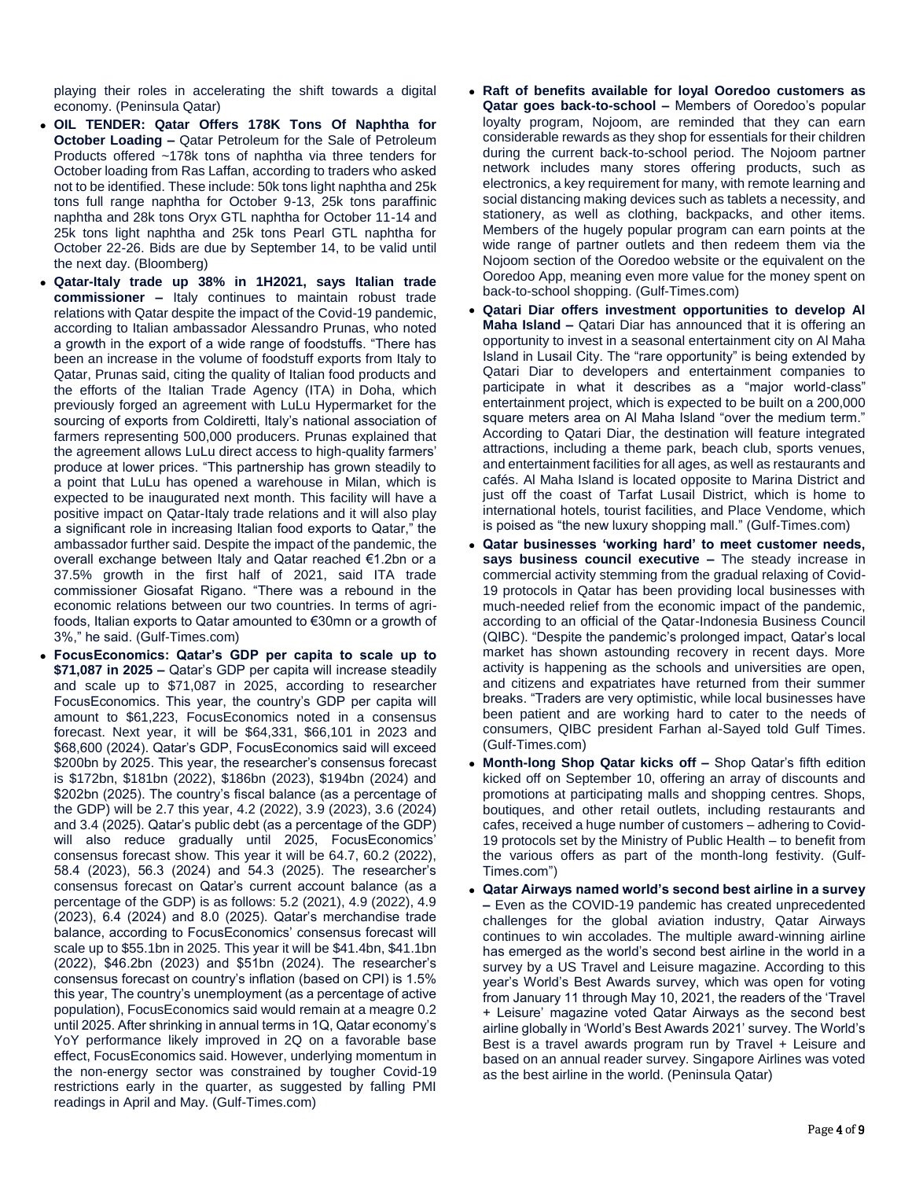playing their roles in accelerating the shift towards a digital economy. (Peninsula Qatar)

- **OIL TENDER: Qatar Offers 178K Tons Of Naphtha for October Loading –** Qatar Petroleum for the Sale of Petroleum Products offered ~178k tons of naphtha via three tenders for October loading from Ras Laffan, according to traders who asked not to be identified. These include: 50k tons light naphtha and 25k tons full range naphtha for October 9-13, 25k tons paraffinic naphtha and 28k tons Oryx GTL naphtha for October 11-14 and 25k tons light naphtha and 25k tons Pearl GTL naphtha for October 22-26. Bids are due by September 14, to be valid until the next day. (Bloomberg)
- **Qatar-Italy trade up 38% in 1H2021, says Italian trade commissioner –** Italy continues to maintain robust trade relations with Qatar despite the impact of the Covid-19 pandemic, according to Italian ambassador Alessandro Prunas, who noted a growth in the export of a wide range of foodstuffs. "There has been an increase in the volume of foodstuff exports from Italy to Qatar, Prunas said, citing the quality of Italian food products and the efforts of the Italian Trade Agency (ITA) in Doha, which previously forged an agreement with LuLu Hypermarket for the sourcing of exports from Coldiretti, Italy's national association of farmers representing 500,000 producers. Prunas explained that the agreement allows LuLu direct access to high-quality farmers' produce at lower prices. "This partnership has grown steadily to a point that LuLu has opened a warehouse in Milan, which is expected to be inaugurated next month. This facility will have a positive impact on Qatar-Italy trade relations and it will also play a significant role in increasing Italian food exports to Qatar," the ambassador further said. Despite the impact of the pandemic, the overall exchange between Italy and Qatar reached €1.2bn or a 37.5% growth in the first half of 2021, said ITA trade commissioner Giosafat Rigano. "There was a rebound in the economic relations between our two countries. In terms of agrifoods, Italian exports to Qatar amounted to €30mn or a growth of 3%," he said. (Gulf-Times.com)
- **FocusEconomics: Qatar's GDP per capita to scale up to \$71,087 in 2025 –** Qatar's GDP per capita will increase steadily and scale up to \$71,087 in 2025, according to researcher FocusEconomics. This year, the country's GDP per capita will amount to \$61,223, FocusEconomics noted in a consensus forecast. Next year, it will be \$64,331, \$66,101 in 2023 and \$68,600 (2024). Qatar's GDP, FocusEconomics said will exceed \$200bn by 2025. This year, the researcher's consensus forecast is \$172bn, \$181bn (2022), \$186bn (2023), \$194bn (2024) and \$202bn (2025). The country's fiscal balance (as a percentage of the GDP) will be 2.7 this year, 4.2 (2022), 3.9 (2023), 3.6 (2024) and 3.4 (2025). Qatar's public debt (as a percentage of the GDP) will also reduce gradually until 2025, FocusEconomics' consensus forecast show. This year it will be 64.7, 60.2 (2022), 58.4 (2023), 56.3 (2024) and 54.3 (2025). The researcher's consensus forecast on Qatar's current account balance (as a percentage of the GDP) is as follows: 5.2 (2021), 4.9 (2022), 4.9 (2023), 6.4 (2024) and 8.0 (2025). Qatar's merchandise trade balance, according to FocusEconomics' consensus forecast will scale up to \$55.1bn in 2025. This year it will be \$41.4bn, \$41.1bn (2022), \$46.2bn (2023) and \$51bn (2024). The researcher's consensus forecast on country's inflation (based on CPI) is 1.5% this year, The country's unemployment (as a percentage of active population), FocusEconomics said would remain at a meagre 0.2 until 2025. After shrinking in annual terms in 1Q, Qatar economy's YoY performance likely improved in 2Q on a favorable base effect, FocusEconomics said. However, underlying momentum in the non-energy sector was constrained by tougher Covid-19 restrictions early in the quarter, as suggested by falling PMI readings in April and May. (Gulf-Times.com)
- **Raft of benefits available for loyal Ooredoo customers as Qatar goes back-to-school –** Members of Ooredoo's popular loyalty program, Nojoom, are reminded that they can earn considerable rewards as they shop for essentials for their children during the current back-to-school period. The Nojoom partner network includes many stores offering products, such as electronics, a key requirement for many, with remote learning and social distancing making devices such as tablets a necessity, and stationery, as well as clothing, backpacks, and other items. Members of the hugely popular program can earn points at the wide range of partner outlets and then redeem them via the Nojoom section of the Ooredoo website or the equivalent on the Ooredoo App, meaning even more value for the money spent on back-to-school shopping. (Gulf-Times.com)
- **Qatari Diar offers investment opportunities to develop Al Maha Island –** Qatari Diar has announced that it is offering an opportunity to invest in a seasonal entertainment city on Al Maha Island in Lusail City. The "rare opportunity" is being extended by Qatari Diar to developers and entertainment companies to participate in what it describes as a "major world-class" entertainment project, which is expected to be built on a 200,000 square meters area on Al Maha Island "over the medium term." According to Qatari Diar, the destination will feature integrated attractions, including a theme park, beach club, sports venues, and entertainment facilities for all ages, as well as restaurants and cafés. Al Maha Island is located opposite to Marina District and just off the coast of Tarfat Lusail District, which is home to international hotels, tourist facilities, and Place Vendome, which is poised as "the new luxury shopping mall." (Gulf-Times.com)
- **Qatar businesses 'working hard' to meet customer needs, says business council executive –** The steady increase in commercial activity stemming from the gradual relaxing of Covid-19 protocols in Qatar has been providing local businesses with much-needed relief from the economic impact of the pandemic, according to an official of the Qatar-Indonesia Business Council (QIBC). "Despite the pandemic's prolonged impact, Qatar's local market has shown astounding recovery in recent days. More activity is happening as the schools and universities are open, and citizens and expatriates have returned from their summer breaks. "Traders are very optimistic, while local businesses have been patient and are working hard to cater to the needs of consumers, QIBC president Farhan al-Sayed told Gulf Times. (Gulf-Times.com)
- **Month-long Shop Qatar kicks off –** Shop Qatar's fifth edition kicked off on September 10, offering an array of discounts and promotions at participating malls and shopping centres. Shops, boutiques, and other retail outlets, including restaurants and cafes, received a huge number of customers – adhering to Covid-19 protocols set by the Ministry of Public Health – to benefit from the various offers as part of the month-long festivity. (Gulf-Times.com")
- **Qatar Airways named world's second best airline in a survey –** Even as the COVID-19 pandemic has created unprecedented challenges for the global aviation industry, Qatar Airways continues to win accolades. The multiple award-winning airline has emerged as the world's second best airline in the world in a survey by a US Travel and Leisure magazine. According to this year's World's Best Awards survey, which was open for voting from January 11 through May 10, 2021, the readers of the 'Travel + Leisure' magazine voted Qatar Airways as the second best airline globally in 'World's Best Awards 2021' survey. The World's Best is a travel awards program run by Travel + Leisure and based on an annual reader survey. Singapore Airlines was voted as the best airline in the world. (Peninsula Qatar)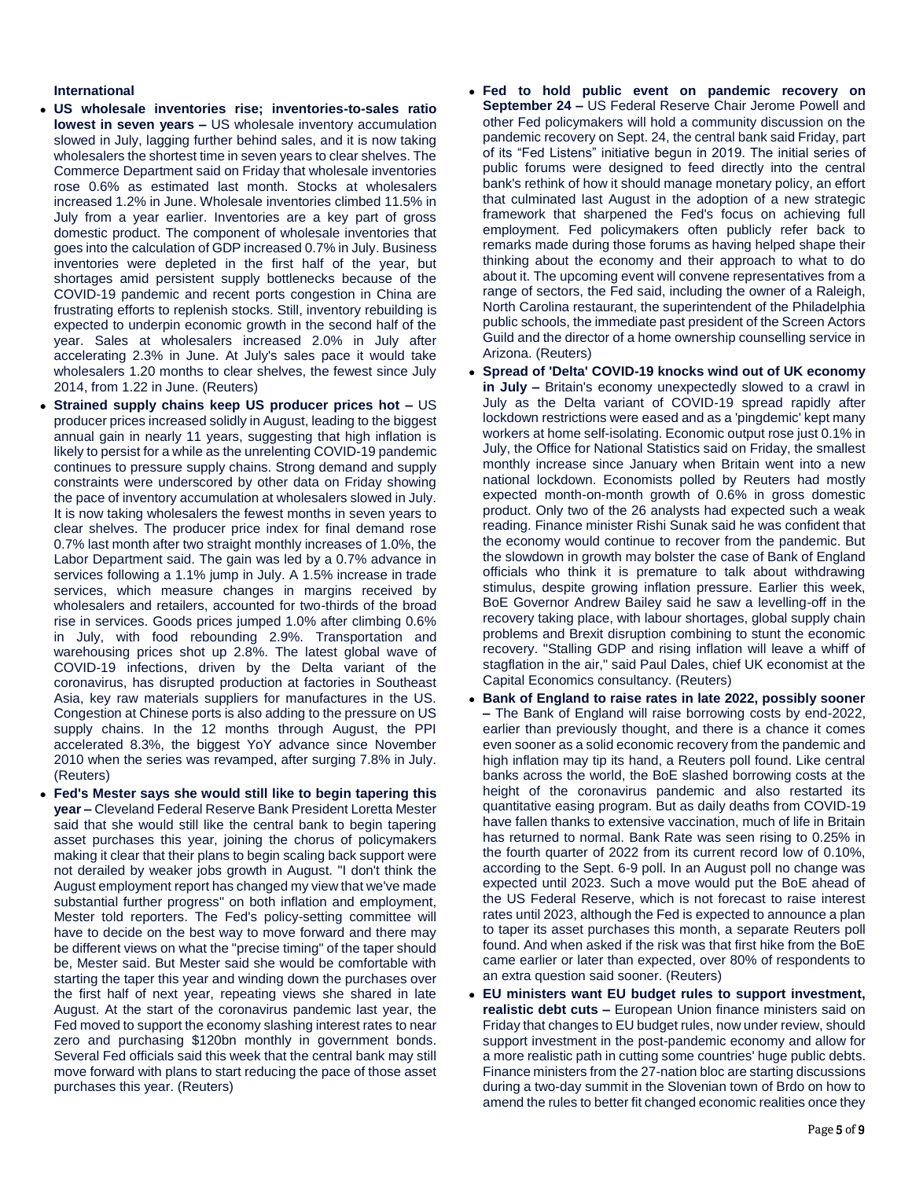## **International**

- **US wholesale inventories rise; inventories-to-sales ratio lowest in seven years –** US wholesale inventory accumulation slowed in July, lagging further behind sales, and it is now taking wholesalers the shortest time in seven years to clear shelves. The Commerce Department said on Friday that wholesale inventories rose 0.6% as estimated last month. Stocks at wholesalers increased 1.2% in June. Wholesale inventories climbed 11.5% in July from a year earlier. Inventories are a key part of gross domestic product. The component of wholesale inventories that goes into the calculation of GDP increased 0.7% in July. Business inventories were depleted in the first half of the year, but shortages amid persistent supply bottlenecks because of the COVID-19 pandemic and recent ports congestion in China are frustrating efforts to replenish stocks. Still, inventory rebuilding is expected to underpin economic growth in the second half of the year. Sales at wholesalers increased 2.0% in July after accelerating 2.3% in June. At July's sales pace it would take wholesalers 1.20 months to clear shelves, the fewest since July 2014, from 1.22 in June. (Reuters)
- **Strained supply chains keep US producer prices hot –** US producer prices increased solidly in August, leading to the biggest annual gain in nearly 11 years, suggesting that high inflation is likely to persist for a while as the unrelenting COVID-19 pandemic continues to pressure supply chains. Strong demand and supply constraints were underscored by other data on Friday showing the pace of inventory accumulation at wholesalers slowed in July. It is now taking wholesalers the fewest months in seven years to clear shelves. The producer price index for final demand rose 0.7% last month after two straight monthly increases of 1.0%, the Labor Department said. The gain was led by a 0.7% advance in services following a 1.1% jump in July. A 1.5% increase in trade services, which measure changes in margins received by wholesalers and retailers, accounted for two-thirds of the broad rise in services. Goods prices jumped 1.0% after climbing 0.6% in July, with food rebounding 2.9%. Transportation and warehousing prices shot up 2.8%. The latest global wave of COVID-19 infections, driven by the Delta variant of the coronavirus, has disrupted production at factories in Southeast Asia, key raw materials suppliers for manufactures in the US. Congestion at Chinese ports is also adding to the pressure on US supply chains. In the 12 months through August, the PPI accelerated 8.3%, the biggest YoY advance since November 2010 when the series was revamped, after surging 7.8% in July. (Reuters)
- **Fed's Mester says she would still like to begin tapering this year –** Cleveland Federal Reserve Bank President Loretta Mester said that she would still like the central bank to begin tapering asset purchases this year, joining the chorus of policymakers making it clear that their plans to begin scaling back support were not derailed by weaker jobs growth in August. "I don't think the August employment report has changed my view that we've made substantial further progress" on both inflation and employment, Mester told reporters. The Fed's policy-setting committee will have to decide on the best way to move forward and there may be different views on what the "precise timing" of the taper should be, Mester said. But Mester said she would be comfortable with starting the taper this year and winding down the purchases over the first half of next year, repeating views she shared in late August. At the start of the coronavirus pandemic last year, the Fed moved to support the economy slashing interest rates to near zero and purchasing \$120bn monthly in government bonds. Several Fed officials said this week that the central bank may still move forward with plans to start reducing the pace of those asset purchases this year. (Reuters)
- **Fed to hold public event on pandemic recovery on September 24 –** US Federal Reserve Chair Jerome Powell and other Fed policymakers will hold a community discussion on the pandemic recovery on Sept. 24, the central bank said Friday, part of its "Fed Listens" initiative begun in 2019. The initial series of public forums were designed to feed directly into the central bank's rethink of how it should manage monetary policy, an effort that culminated last August in the adoption of a new strategic framework that sharpened the Fed's focus on achieving full employment. Fed policymakers often publicly refer back to remarks made during those forums as having helped shape their thinking about the economy and their approach to what to do about it. The upcoming event will convene representatives from a range of sectors, the Fed said, including the owner of a Raleigh, North Carolina restaurant, the superintendent of the Philadelphia public schools, the immediate past president of the Screen Actors Guild and the director of a home ownership counselling service in Arizona. (Reuters)
- **Spread of 'Delta' COVID-19 knocks wind out of UK economy in July –** Britain's economy unexpectedly slowed to a crawl in July as the Delta variant of COVID-19 spread rapidly after lockdown restrictions were eased and as a 'pingdemic' kept many workers at home self-isolating. Economic output rose just 0.1% in July, the Office for National Statistics said on Friday, the smallest monthly increase since January when Britain went into a new national lockdown. Economists polled by Reuters had mostly expected month-on-month growth of 0.6% in gross domestic product. Only two of the 26 analysts had expected such a weak reading. Finance minister Rishi Sunak said he was confident that the economy would continue to recover from the pandemic. But the slowdown in growth may bolster the case of Bank of England officials who think it is premature to talk about withdrawing stimulus, despite growing inflation pressure. Earlier this week, BoE Governor Andrew Bailey said he saw a levelling-off in the recovery taking place, with labour shortages, global supply chain problems and Brexit disruption combining to stunt the economic recovery. "Stalling GDP and rising inflation will leave a whiff of stagflation in the air," said Paul Dales, chief UK economist at the Capital Economics consultancy. (Reuters)
- **Bank of England to raise rates in late 2022, possibly sooner –** The Bank of England will raise borrowing costs by end-2022, earlier than previously thought, and there is a chance it comes even sooner as a solid economic recovery from the pandemic and high inflation may tip its hand, a Reuters poll found. Like central banks across the world, the BoE slashed borrowing costs at the height of the coronavirus pandemic and also restarted its quantitative easing program. But as daily deaths from COVID-19 have fallen thanks to extensive vaccination, much of life in Britain has returned to normal. Bank Rate was seen rising to 0.25% in the fourth quarter of 2022 from its current record low of 0.10%, according to the Sept. 6-9 poll. In an August poll no change was expected until 2023. Such a move would put the BoE ahead of the US Federal Reserve, which is not forecast to raise interest rates until 2023, although the Fed is expected to announce a plan to taper its asset purchases this month, a separate Reuters poll found. And when asked if the risk was that first hike from the BoE came earlier or later than expected, over 80% of respondents to an extra question said sooner. (Reuters)
- **EU ministers want EU budget rules to support investment, realistic debt cuts –** European Union finance ministers said on Friday that changes to EU budget rules, now under review, should support investment in the post-pandemic economy and allow for a more realistic path in cutting some countries' huge public debts. Finance ministers from the 27-nation bloc are starting discussions during a two-day summit in the Slovenian town of Brdo on how to amend the rules to better fit changed economic realities once they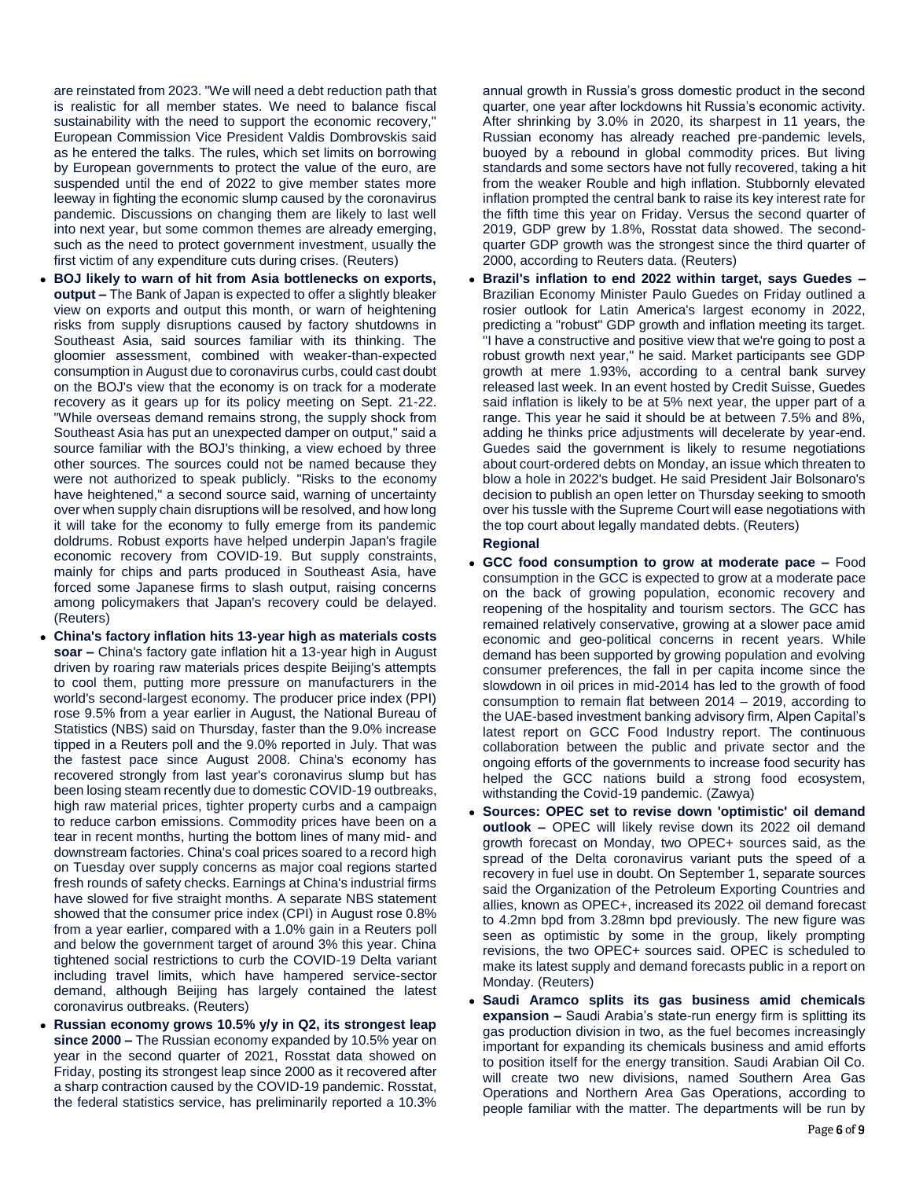are reinstated from 2023. "We will need a debt reduction path that is realistic for all member states. We need to balance fiscal sustainability with the need to support the economic recovery," European Commission Vice President Valdis Dombrovskis said as he entered the talks. The rules, which set limits on borrowing by European governments to protect the value of the euro, are suspended until the end of 2022 to give member states more leeway in fighting the economic slump caused by the coronavirus pandemic. Discussions on changing them are likely to last well into next year, but some common themes are already emerging, such as the need to protect government investment, usually the first victim of any expenditure cuts during crises. (Reuters)

- **BOJ likely to warn of hit from Asia bottlenecks on exports, output –** The Bank of Japan is expected to offer a slightly bleaker view on exports and output this month, or warn of heightening risks from supply disruptions caused by factory shutdowns in Southeast Asia, said sources familiar with its thinking. The gloomier assessment, combined with weaker-than-expected consumption in August due to coronavirus curbs, could cast doubt on the BOJ's view that the economy is on track for a moderate recovery as it gears up for its policy meeting on Sept. 21-22. "While overseas demand remains strong, the supply shock from Southeast Asia has put an unexpected damper on output," said a source familiar with the BOJ's thinking, a view echoed by three other sources. The sources could not be named because they were not authorized to speak publicly. "Risks to the economy have heightened," a second source said, warning of uncertainty over when supply chain disruptions will be resolved, and how long it will take for the economy to fully emerge from its pandemic doldrums. Robust exports have helped underpin Japan's fragile economic recovery from COVID-19. But supply constraints, mainly for chips and parts produced in Southeast Asia, have forced some Japanese firms to slash output, raising concerns among policymakers that Japan's recovery could be delayed. (Reuters)
- **China's factory inflation hits 13-year high as materials costs soar –** China's factory gate inflation hit a 13-year high in August driven by roaring raw materials prices despite Beijing's attempts to cool them, putting more pressure on manufacturers in the world's second-largest economy. The producer price index (PPI) rose 9.5% from a year earlier in August, the National Bureau of Statistics (NBS) said on Thursday, faster than the 9.0% increase tipped in a Reuters poll and the 9.0% reported in July. That was the fastest pace since August 2008. China's economy has recovered strongly from last year's coronavirus slump but has been losing steam recently due to domestic COVID-19 outbreaks, high raw material prices, tighter property curbs and a campaign to reduce carbon emissions. Commodity prices have been on a tear in recent months, hurting the bottom lines of many mid- and downstream factories. China's coal prices soared to a record high on Tuesday over supply concerns as major coal regions started fresh rounds of safety checks. Earnings at China's industrial firms have slowed for five straight months. A separate NBS statement showed that the consumer price index (CPI) in August rose 0.8% from a year earlier, compared with a 1.0% gain in a Reuters poll and below the government target of around 3% this year. China tightened social restrictions to curb the COVID-19 Delta variant including travel limits, which have hampered service-sector demand, although Beijing has largely contained the latest coronavirus outbreaks. (Reuters)
- **Russian economy grows 10.5% y/y in Q2, its strongest leap since 2000 –** The Russian economy expanded by 10.5% year on year in the second quarter of 2021, Rosstat data showed on Friday, posting its strongest leap since 2000 as it recovered after a sharp contraction caused by the COVID-19 pandemic. Rosstat, the federal statistics service, has preliminarily reported a 10.3%

annual growth in Russia's gross domestic product in the second quarter, one year after lockdowns hit Russia's economic activity. After shrinking by 3.0% in 2020, its sharpest in 11 years, the Russian economy has already reached pre-pandemic levels, buoyed by a rebound in global commodity prices. But living standards and some sectors have not fully recovered, taking a hit from the weaker Rouble and high inflation. Stubbornly elevated inflation prompted the central bank to raise its key interest rate for the fifth time this year on Friday. Versus the second quarter of 2019, GDP grew by 1.8%, Rosstat data showed. The secondquarter GDP growth was the strongest since the third quarter of 2000, according to Reuters data. (Reuters)

- **Brazil's inflation to end 2022 within target, says Guedes –** Brazilian Economy Minister Paulo Guedes on Friday outlined a rosier outlook for Latin America's largest economy in 2022, predicting a "robust" GDP growth and inflation meeting its target. "I have a constructive and positive view that we're going to post a robust growth next year," he said. Market participants see GDP growth at mere 1.93%, according to a central bank survey released last week. In an event hosted by Credit Suisse, Guedes said inflation is likely to be at 5% next year, the upper part of a range. This year he said it should be at between 7.5% and 8%, adding he thinks price adjustments will decelerate by year-end. Guedes said the government is likely to resume negotiations about court-ordered debts on Monday, an issue which threaten to blow a hole in 2022's budget. He said President Jair Bolsonaro's decision to publish an open letter on Thursday seeking to smooth over his tussle with the Supreme Court will ease negotiations with the top court about legally mandated debts. (Reuters) **Regional**
- **GCC food consumption to grow at moderate pace –** Food consumption in the GCC is expected to grow at a moderate pace on the back of growing population, economic recovery and reopening of the hospitality and tourism sectors. The GCC has remained relatively conservative, growing at a slower pace amid economic and geo-political concerns in recent years. While demand has been supported by growing population and evolving consumer preferences, the fall in per capita income since the slowdown in oil prices in mid-2014 has led to the growth of food consumption to remain flat between 2014 – 2019, according to the UAE-based investment banking advisory firm, Alpen Capital's latest report on GCC Food Industry report. The continuous collaboration between the public and private sector and the ongoing efforts of the governments to increase food security has helped the GCC nations build a strong food ecosystem, withstanding the Covid-19 pandemic. (Zawya)
- **Sources: OPEC set to revise down 'optimistic' oil demand outlook –** OPEC will likely revise down its 2022 oil demand growth forecast on Monday, two OPEC+ sources said, as the spread of the Delta coronavirus variant puts the speed of a recovery in fuel use in doubt. On September 1, separate sources said the Organization of the Petroleum Exporting Countries and allies, known as OPEC+, increased its 2022 oil demand forecast to 4.2mn bpd from 3.28mn bpd previously. The new figure was seen as optimistic by some in the group, likely prompting revisions, the two OPEC+ sources said. OPEC is scheduled to make its latest supply and demand forecasts public in a report on Monday. (Reuters)
- **Saudi Aramco splits its gas business amid chemicals expansion –** Saudi Arabia's state-run energy firm is splitting its gas production division in two, as the fuel becomes increasingly important for expanding its chemicals business and amid efforts to position itself for the energy transition. Saudi Arabian Oil Co. will create two new divisions, named Southern Area Gas Operations and Northern Area Gas Operations, according to people familiar with the matter. The departments will be run by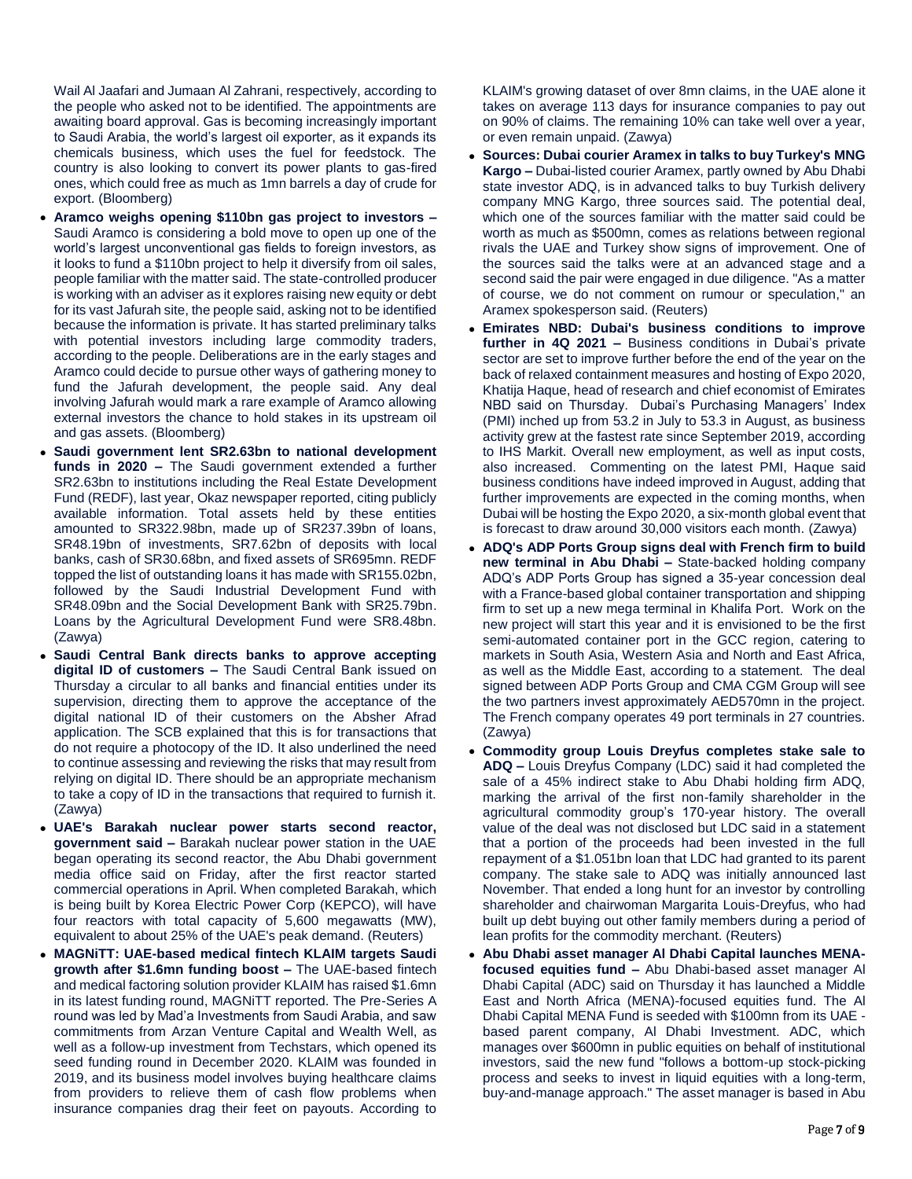Wail Al Jaafari and Jumaan Al Zahrani, respectively, according to the people who asked not to be identified. The appointments are awaiting board approval. Gas is becoming increasingly important to Saudi Arabia, the world's largest oil exporter, as it expands its chemicals business, which uses the fuel for feedstock. The country is also looking to convert its power plants to gas-fired ones, which could free as much as 1mn barrels a day of crude for export. (Bloomberg)

- **Aramco weighs opening \$110bn gas project to investors –** Saudi Aramco is considering a bold move to open up one of the world's largest unconventional gas fields to foreign investors, as it looks to fund a \$110bn project to help it diversify from oil sales, people familiar with the matter said. The state-controlled producer is working with an adviser as it explores raising new equity or debt for its vast Jafurah site, the people said, asking not to be identified because the information is private. It has started preliminary talks with potential investors including large commodity traders, according to the people. Deliberations are in the early stages and Aramco could decide to pursue other ways of gathering money to fund the Jafurah development, the people said. Any deal involving Jafurah would mark a rare example of Aramco allowing external investors the chance to hold stakes in its upstream oil and gas assets. (Bloomberg)
- **Saudi government lent SR2.63bn to national development funds in 2020 –** The Saudi government extended a further SR2.63bn to institutions including the Real Estate Development Fund (REDF), last year, Okaz newspaper reported, citing publicly available information. Total assets held by these entities amounted to SR322.98bn, made up of SR237.39bn of loans, SR48.19bn of investments, SR7.62bn of deposits with local banks, cash of SR30.68bn, and fixed assets of SR695mn. REDF topped the list of outstanding loans it has made with SR155.02bn, followed by the Saudi Industrial Development Fund with SR48.09bn and the Social Development Bank with SR25.79bn. Loans by the Agricultural Development Fund were SR8.48bn. (Zawya)
- **Saudi Central Bank directs banks to approve accepting digital ID of customers –** The Saudi Central Bank issued on Thursday a circular to all banks and financial entities under its supervision, directing them to approve the acceptance of the digital national ID of their customers on the Absher Afrad application. The SCB explained that this is for transactions that do not require a photocopy of the ID. It also underlined the need to continue assessing and reviewing the risks that may result from relying on digital ID. There should be an appropriate mechanism to take a copy of ID in the transactions that required to furnish it. (Zawya)
- **UAE's Barakah nuclear power starts second reactor, government said –** Barakah nuclear power station in the UAE began operating its second reactor, the Abu Dhabi government media office said on Friday, after the first reactor started commercial operations in April. When completed Barakah, which is being built by Korea Electric Power Corp (KEPCO), will have four reactors with total capacity of 5,600 megawatts (MW), equivalent to about 25% of the UAE's peak demand. (Reuters)
- **MAGNiTT: UAE-based medical fintech KLAIM targets Saudi growth after \$1.6mn funding boost –** The UAE-based fintech and medical factoring solution provider KLAIM has raised \$1.6mn in its latest funding round, MAGNiTT reported. The Pre-Series A round was led by Mad'a Investments from Saudi Arabia, and saw commitments from Arzan Venture Capital and Wealth Well, as well as a follow-up investment from Techstars, which opened its seed funding round in December 2020. KLAIM was founded in 2019, and its business model involves buying healthcare claims from providers to relieve them of cash flow problems when insurance companies drag their feet on payouts. According to

KLAIM's growing dataset of over 8mn claims, in the UAE alone it takes on average 113 days for insurance companies to pay out on 90% of claims. The remaining 10% can take well over a year, or even remain unpaid. (Zawya)

- **Sources: Dubai courier Aramex in talks to buy Turkey's MNG Kargo –** Dubai-listed courier Aramex, partly owned by Abu Dhabi state investor ADQ, is in advanced talks to buy Turkish delivery company MNG Kargo, three sources said. The potential deal, which one of the sources familiar with the matter said could be worth as much as \$500mn, comes as relations between regional rivals the UAE and Turkey show signs of improvement. One of the sources said the talks were at an advanced stage and a second said the pair were engaged in due diligence. "As a matter of course, we do not comment on rumour or speculation," an Aramex spokesperson said. (Reuters)
- **Emirates NBD: Dubai's business conditions to improve further in 4Q 2021 –** Business conditions in Dubai's private sector are set to improve further before the end of the year on the back of relaxed containment measures and hosting of Expo 2020, Khatija Haque, head of research and chief economist of Emirates NBD said on Thursday. Dubai's Purchasing Managers' Index (PMI) inched up from 53.2 in July to 53.3 in August, as business activity grew at the fastest rate since September 2019, according to IHS Markit. Overall new employment, as well as input costs, also increased. Commenting on the latest PMI, Haque said business conditions have indeed improved in August, adding that further improvements are expected in the coming months, when Dubai will be hosting the Expo 2020, a six-month global event that is forecast to draw around 30,000 visitors each month. (Zawya)
- **ADQ's ADP Ports Group signs deal with French firm to build new terminal in Abu Dhabi –** State-backed holding company ADQ's ADP Ports Group has signed a 35-year concession deal with a France-based global container transportation and shipping firm to set up a new mega terminal in Khalifa Port. Work on the new project will start this year and it is envisioned to be the first semi-automated container port in the GCC region, catering to markets in South Asia, Western Asia and North and East Africa, as well as the Middle East, according to a statement. The deal signed between ADP Ports Group and CMA CGM Group will see the two partners invest approximately AED570mn in the project. The French company operates 49 port terminals in 27 countries. (Zawya)
- **Commodity group Louis Dreyfus completes stake sale to ADQ –** Louis Dreyfus Company (LDC) said it had completed the sale of a 45% indirect stake to Abu Dhabi holding firm ADQ, marking the arrival of the first non-family shareholder in the agricultural commodity group's 170-year history. The overall value of the deal was not disclosed but LDC said in a statement that a portion of the proceeds had been invested in the full repayment of a \$1.051bn loan that LDC had granted to its parent company. The stake sale to ADQ was initially announced last November. That ended a long hunt for an investor by controlling shareholder and chairwoman Margarita Louis-Dreyfus, who had built up debt buying out other family members during a period of lean profits for the commodity merchant. (Reuters)
- **Abu Dhabi asset manager Al Dhabi Capital launches MENAfocused equities fund –** Abu Dhabi-based asset manager Al Dhabi Capital (ADC) said on Thursday it has launched a Middle East and North Africa (MENA)-focused equities fund. The Al Dhabi Capital MENA Fund is seeded with \$100mn from its UAE based parent company, Al Dhabi Investment. ADC, which manages over \$600mn in public equities on behalf of institutional investors, said the new fund "follows a bottom-up stock-picking process and seeks to invest in liquid equities with a long-term, buy-and-manage approach." The asset manager is based in Abu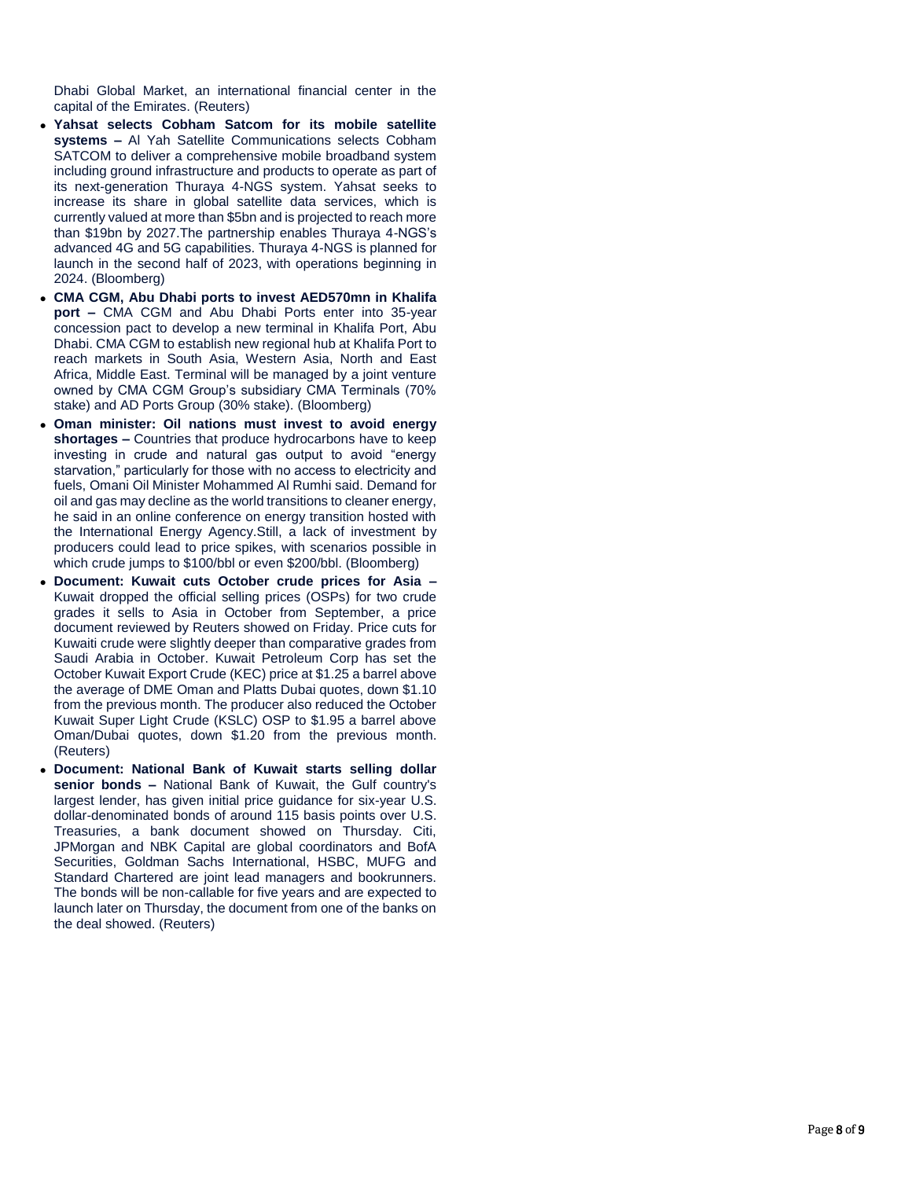Dhabi Global Market, an international financial center in the capital of the Emirates. (Reuters)

- **Yahsat selects Cobham Satcom for its mobile satellite systems –** Al Yah Satellite Communications selects Cobham SATCOM to deliver a comprehensive mobile broadband system including ground infrastructure and products to operate as part of its next -generation Thuraya 4 -NGS system. Yahsat seeks to increase its share in global satellite data services, which is currently valued at more than \$5bn and is projected to reach more than \$19bn by 2027.The partnership enables Thuraya 4 -NGS's advanced 4G and 5G capabilities. Thuraya 4 -NGS is planned for launch in the second half of 2023, with operations beginning in 2024. (Bloomberg)
- **CMA CGM, Abu Dhabi ports to invest AED570mn in Khalifa port –** CMA CGM and Abu Dhabi Ports enter into 35 -year concession pact to develop a new terminal in Khalifa Port, Abu Dhabi. CMA CGM to establish new regional hub at Khalifa Port to reach markets in South Asia, Western Asia, North and East Africa, Middle East. Terminal will be managed by a joint venture owned by CMA CGM Group's subsidiary CMA Terminals (70% stake) and AD Ports Group (30% stake). (Bloomberg)
- **Oman minister: Oil nations must invest to avoid energy shortages –** Countries that produce hydrocarbons have to keep investing in crude and natural gas output to avoid "energy starvation," particularly for those with no access to electricity and fuels, Omani Oil Minister Mohammed Al Rumhi said. Demand for oil and gas may decline as the world transitions to cleaner energy, he said in an online conference on energy transition hosted with the International Energy Agency.Still, a lack of investment by producers could lead to price spikes, with scenarios possible in which crude jumps to \$100/bbl or even \$200/bbl. (Bloomberg)
- **Document: Kuwait cuts October crude prices for Asia –** Kuwait dropped the official selling prices (OSPs) for two crude grades it sells to Asia in October from September, a price document reviewed by Reuters showed on Friday. Price cuts for Kuwaiti crude were slightly deeper than comparative grades from Saudi Arabia in October. Kuwait Petroleum Corp has set the October Kuwait Export Crude (KEC) price at \$1.25 a barrel above the average of DME Oman and Platts Dubai quotes, down \$1.10 from the previous month. The producer also reduced the October Kuwait Super Light Crude (KSLC) OSP to \$1.95 a barrel above Oman/Dubai quotes, down \$1.20 from the previous month. (Reuters)
- **Document: National Bank of Kuwait starts selling dollar senior bonds –** National Bank of Kuwait, the Gulf country's largest lender, has given initial price guidance for six -year U.S. dollar -denominated bonds of around 115 basis points over U.S. Treasuries, a bank document showed on Thursday. Citi, JPMorgan and NBK Capital are global coordinators and BofA Securities, Goldman Sachs International, HSBC, MUFG and Standard Chartered are joint lead managers and bookrunners. The bonds will be non -callable for five years and are expected to launch later on Thursday, the document from one of the banks on the deal showed. (Reuters)